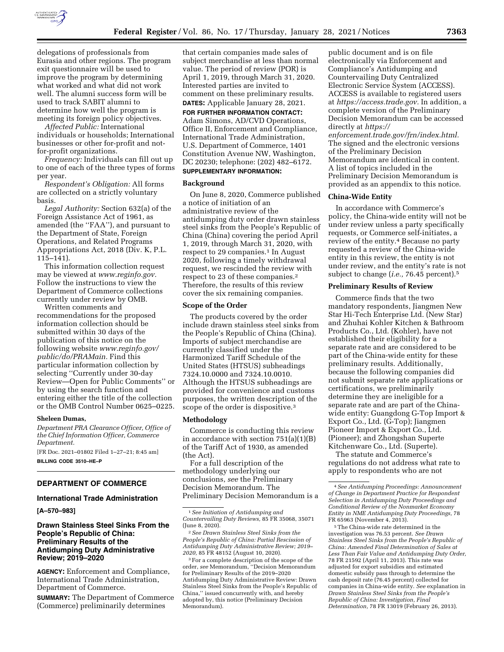

delegations of professionals from Eurasia and other regions. The program exit questionnaire will be used to improve the program by determining what worked and what did not work well. The alumni success form will be used to track SABIT alumni to determine how well the program is meeting its foreign policy objectives.

*Affected Public:* International individuals or households; International businesses or other for-profit and notfor-profit organizations.

*Frequency:* Individuals can fill out up to one of each of the three types of forms per year.

*Respondent's Obligation:* All forms are collected on a strictly voluntary basis.

*Legal Authority:* Section 632(a) of the Foreign Assistance Act of 1961, as amended (the ''FAA''), and pursuant to the Department of State, Foreign Operations, and Related Programs Appropriations Act, 2018 (Div. K, P.L. 115–141).

This information collection request may be viewed at *[www.reginfo.gov.](http://www.reginfo.gov)*  Follow the instructions to view the Department of Commerce collections currently under review by OMB.

Written comments and recommendations for the proposed information collection should be submitted within 30 days of the publication of this notice on the following website *[www.reginfo.gov/](http://www.reginfo.gov/public/do/PRAMain)  [public/do/PRAMain.](http://www.reginfo.gov/public/do/PRAMain)* Find this particular information collection by selecting ''Currently under 30-day Review—Open for Public Comments'' or by using the search function and entering either the title of the collection or the OMB Control Number 0625–0225.

### **Sheleen Dumas,**

*Department PRA Clearance Officer, Office of the Chief Information Officer, Commerce Department.* 

[FR Doc. 2021–01802 Filed 1–27–21; 8:45 am] **BILLING CODE 3510–HE–P** 

# **DEPARTMENT OF COMMERCE**

### **International Trade Administration**

**[A–570–983]** 

### **Drawn Stainless Steel Sinks From the People's Republic of China: Preliminary Results of the Antidumping Duty Administrative Review; 2019–2020**

**AGENCY:** Enforcement and Compliance, International Trade Administration, Department of Commerce.

**SUMMARY:** The Department of Commerce (Commerce) preliminarily determines

that certain companies made sales of subject merchandise at less than normal value. The period of review (POR) is April 1, 2019, through March 31, 2020. Interested parties are invited to comment on these preliminary results. **DATES:** Applicable January 28, 2021.

# **FOR FURTHER INFORMATION CONTACT:**

Adam Simons, AD/CVD Operations, Office II, Enforcement and Compliance, International Trade Administration, U.S. Department of Commerce, 1401 Constitution Avenue NW, Washington, DC 20230; telephone: (202) 482–6172. **SUPPLEMENTARY INFORMATION:** 

#### **Background**

On June 8, 2020, Commerce published a notice of initiation of an administrative review of the antidumping duty order drawn stainless steel sinks from the People's Republic of China (China) covering the period April 1, 2019, through March 31, 2020, with respect to 29 companies.<sup>1</sup> In August 2020, following a timely withdrawal request, we rescinded the review with respect to 23 of these companies.2 Therefore, the results of this review cover the six remaining companies.

#### **Scope of the Order**

The products covered by the order include drawn stainless steel sinks from the People's Republic of China (China). Imports of subject merchandise are currently classified under the Harmonized Tariff Schedule of the United States (HTSUS) subheadings 7324.10.0000 and 7324.10.0010. Although the HTSUS subheadings are provided for convenience and customs purposes, the written description of the scope of the order is dispositive.3

# **Methodology**

Commerce is conducting this review in accordance with section 751(a)(1)(B) of the Tariff Act of 1930, as amended (the Act).

For a full description of the methodology underlying our conclusions, *see* the Preliminary Decision Memorandum. The Preliminary Decision Memorandum is a

2*See Drawn Stainless Steel Sinks from the People's Republic of China: Partial Rescission of Antidumping Duty Administrative Review; 2019– 2020,* 85 FR 48152 (August 10, 2020).

3For a complete description of the scope of the order, *see* Memorandum, ''Decision Memorandum for Preliminary Results of the 2019–2020 Antidumping Duty Administrative Review: Drawn Stainless Steel Sinks from the People's Republic of China,'' issued concurrently with, and hereby adopted by, this notice (Preliminary Decision Memorandum).

public document and is on file electronically via Enforcement and Compliance's Antidumping and Countervailing Duty Centralized Electronic Service System (ACCESS). ACCESS is available to registered users at *[https://access.trade.gov.](https://access.trade.gov)* In addition, a complete version of the Preliminary Decision Memorandum can be accessed directly at *[https://](https://enforcement.trade.gov/frn/index.html)*

*[enforcement.trade.gov/frn/index.html.](https://enforcement.trade.gov/frn/index.html)*  The signed and the electronic versions of the Preliminary Decision Memorandum are identical in content. A list of topics included in the Preliminary Decision Memorandum is provided as an appendix to this notice.

### **China-Wide Entity**

In accordance with Commerce's policy, the China-wide entity will not be under review unless a party specifically requests, or Commerce self-initiates, a review of the entity.4 Because no party requested a review of the China-wide entity in this review, the entity is not under review, and the entity's rate is not subject to change (*i.e.,* 76.45 percent).5

### **Preliminary Results of Review**

Commerce finds that the two mandatory respondents, Jiangmen New Star Hi-Tech Enterprise Ltd. (New Star) and Zhuhai Kohler Kitchen & Bathroom Products Co., Ltd. (Kohler), have not established their eligibility for a separate rate and are considered to be part of the China-wide entity for these preliminary results. Additionally, because the following companies did not submit separate rate applications or certifications, we preliminarily determine they are ineligible for a separate rate and are part of the Chinawide entity: Guangdong G-Top Import & Export Co., Ltd. (G-Top); Jiangmen Pioneer Import & Export Co., Ltd. (Pioneer); and Zhongshan Superte Kitchenware Co., Ltd. (Superte).

The statute and Commerce's regulations do not address what rate to apply to respondents who are not

5The China-wide rate determined in the investigation was 76.53 percent. *See Drawn Stainless Steel Sinks from the People's Republic of China: Amended Final Determination of Sales at Less Than Fair Value and Antidumping Duty Order,*  78 FR 21592 (April 11, 2013). This rate was adjusted for export subsidies and estimated domestic subsidy pass through to determine the cash deposit rate (76.45 percent) collected for companies in China-wide entity. *See* explanation in *Drawn Stainless Steel Sinks from the People's Republic of China: Investigation, Final Determination,* 78 FR 13019 (February 26, 2013).

<sup>1</sup>*See Initiation of Antidumping and Countervailing Duty Reviews,* 85 FR 35068, 35071 (June 8, 2020).

<sup>4</sup>*See Antidumping Proceedings: Announcement of Change in Department Practice for Respondent Selection in Antidumping Duty Proceedings and Conditional Review of the Nonmarket Economy Entity in NME Antidumping Duty Proceedings,* 78 FR 65963 (November 4, 2013).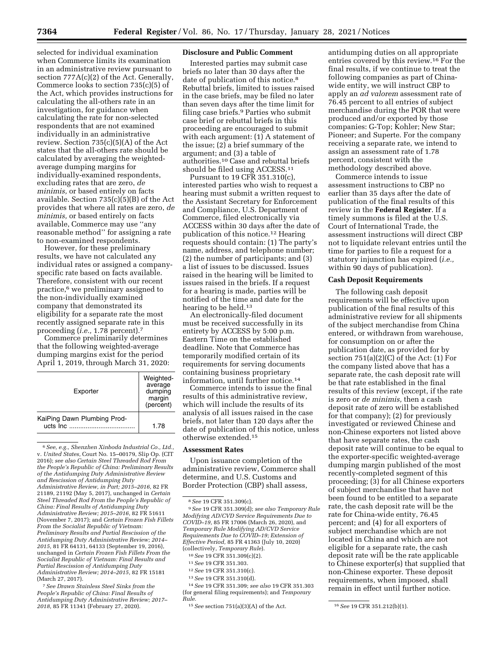selected for individual examination when Commerce limits its examination in an administrative review pursuant to section 777A(c)(2) of the Act. Generally, Commerce looks to section  $735(c)(5)$  of the Act, which provides instructions for calculating the all-others rate in an investigation, for guidance when calculating the rate for non-selected respondents that are not examined individually in an administrative review. Section 735(c)(5)(A) of the Act states that the all-others rate should be calculated by averaging the weightedaverage dumping margins for individually-examined respondents, excluding rates that are zero, *de minimis,* or based entirely on facts available. Section 735(c)(5)(B) of the Act provides that where all rates are zero, *de minimis,* or based entirely on facts available, Commerce may use ''any reasonable method'' for assigning a rate to non-examined respondents.

However, for these preliminary results, we have not calculated any individual rates or assigned a companyspecific rate based on facts available. Therefore, consistent with our recent practice,6 we preliminary assigned to the non-individually examined company that demonstrated its eligibility for a separate rate the most recently assigned separate rate in this proceeding (*i.e.,* 1.78 percent).7

Commerce preliminarily determines that the following weighted-average dumping margins exist for the period April 1, 2019, through March 31, 2020:

| Exporter                                   | Weighted-<br>average<br>dumping<br>margin<br>(percent) |
|--------------------------------------------|--------------------------------------------------------|
| KaiPing Dawn Plumbing Prod-<br>$ucts$ Inc. | 1.78                                                   |

<sup>6</sup>*See, e.g., Shenzhen Xinboda Industrial Co., Ltd.,*  v. *United States,* Court No. 15–00179, Slip Op. (CIT 2016); *see also Certain Steel Threaded Rod From the People's Republic of China: Preliminary Results of the Antidumping Duty Administrative Review and Rescission of Antidumping Duty Administrative Review, in Part; 2015–2016,* 82 FR 21189, 21192 (May 5, 2017), unchanged in *Certain Steel Threaded Rod From the People's Republic of China: Final Results of Antidumping Duty Administrative Review; 2015–2016,* 82 FR 51611 (November 7, 2017); and *Certain Frozen Fish Fillets From the Socialist Republic of Vietnam: Preliminary Results and Partial Rescission of the Antidumping Duty Administrative Review; 2014– 2015,* 81 FR 64131, 64133 (September 19, 2016), unchanged in *Certain Frozen Fish Fillets From the Socialist Republic of Vietnam: Final Results and Partial Rescission of Antidumping Duty Administrative Review; 2014–2015,* 82 FR 15181 (March 27, 2017).

7*See Drawn Stainless Steel Sinks from the People's Republic of China: Final Results of Antidumping Duty Administrative Review; 2017– 2018,* 85 FR 11341 (February 27, 2020).

### **Disclosure and Public Comment**

Interested parties may submit case briefs no later than 30 days after the date of publication of this notice.<sup>8</sup> Rebuttal briefs, limited to issues raised in the case briefs, may be filed no later than seven days after the time limit for filing case briefs.9 Parties who submit case brief or rebuttal briefs in this proceeding are encouraged to submit with each argument: (1) A statement of the issue; (2) a brief summary of the argument; and (3) a table of authorities.10 Case and rebuttal briefs should be filed using ACCESS.11

Pursuant to 19 CFR 351.310(c), interested parties who wish to request a hearing must submit a written request to the Assistant Secretary for Enforcement and Compliance, U.S. Department of Commerce, filed electronically via ACCESS within 30 days after the date of publication of this notice.12 Hearing requests should contain: (1) The party's name, address, and telephone number; (2) the number of participants; and (3) a list of issues to be discussed. Issues raised in the hearing will be limited to issues raised in the briefs. If a request for a hearing is made, parties will be notified of the time and date for the hearing to be held.13

An electronically-filed document must be received successfully in its entirety by ACCESS by 5:00 p.m. Eastern Time on the established deadline. Note that Commerce has temporarily modified certain of its requirements for serving documents containing business proprietary information, until further notice.14

Commerce intends to issue the final results of this administrative review, which will include the results of its analysis of all issues raised in the case briefs, not later than 120 days after the date of publication of this notice, unless otherwise extended.15

#### **Assessment Rates**

Upon issuance completion of the administrative review, Commerce shall determine, and U.S. Customs and Border Protection (CBP) shall assess,

9*See* 19 CFR 351.309(d); *see also Temporary Rule Modifying AD/CVD Service Requirements Due to COVID–19,* 85 FR 17006 (March 26, 2020), and *Temporary Rule Modifying AD/CVD Service Requirements Due to COVID–19; Extension of Effective Period,* 85 FR 41363 (July 10, 2020) (collectively, *Temporary Rule*).

10*See* 19 CFR 351.309(c)(2).

13*See* 19 CFR 351.310(d).

14*See* 19 CFR 351.309; *see also* 19 CFR 351.303 (for general filing requirements); and *Temporary Rule.* 

antidumping duties on all appropriate entries covered by this review.16 For the final results, if we continue to treat the following companies as part of Chinawide entity, we will instruct CBP to apply an *ad valorem* assessment rate of 76.45 percent to all entries of subject merchandise during the POR that were produced and/or exported by those companies: G-Top; Kohler; New Star; Pioneer; and Superte. For the company receiving a separate rate, we intend to assign an assessment rate of 1.78 percent, consistent with the methodology described above.

Commerce intends to issue assessment instructions to CBP no earlier than 35 days after the date of publication of the final results of this review in the **Federal Register**. If a timely summons is filed at the U.S. Court of International Trade, the assessment instructions will direct CBP not to liquidate relevant entries until the time for parties to file a request for a statutory injunction has expired (*i.e.,*  within 90 days of publication).

## **Cash Deposit Requirements**

The following cash deposit requirements will be effective upon publication of the final results of this administrative review for all shipments of the subject merchandise from China entered, or withdrawn from warehouse, for consumption on or after the publication date, as provided for by section  $751(a)(2)(C)$  of the Act:  $(1)$  For the company listed above that has a separate rate, the cash deposit rate will be that rate established in the final results of this review (except, if the rate is zero or *de minimis,* then a cash deposit rate of zero will be established for that company); (2) for previously investigated or reviewed Chinese and non-Chinese exporters not listed above that have separate rates, the cash deposit rate will continue to be equal to the exporter-specific weighted-average dumping margin published of the most recently-completed segment of this proceeding; (3) for all Chinese exporters of subject merchandise that have not been found to be entitled to a separate rate, the cash deposit rate will be the rate for China-wide entity, 76.45 percent; and (4) for all exporters of subject merchandise which are not located in China and which are not eligible for a separate rate, the cash deposit rate will be the rate applicable to Chinese exporter(s) that supplied that non-Chinese exporter. These deposit requirements, when imposed, shall remain in effect until further notice.

<sup>8</sup>*See* 19 CFR 351.309(c).

<sup>11</sup>*See* 19 CFR 351.303.

<sup>12</sup>*See* 19 CFR 351.310(c).

<sup>15</sup>*See* section 751(a)(3)(A) of the Act. 16*See* 19 CFR 351.212(b)(1).